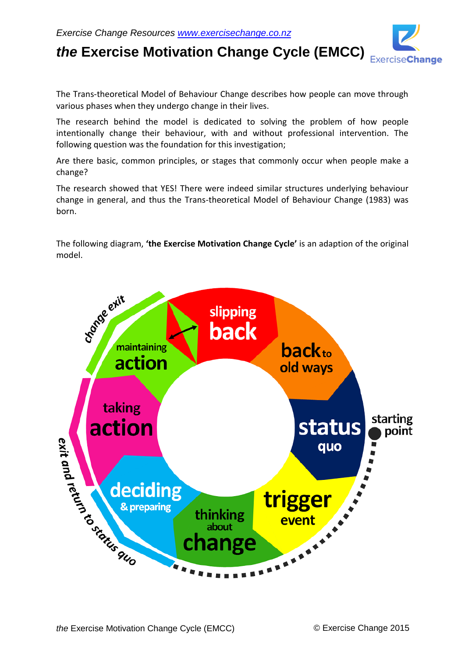

*the* **Exercise Motivation Change Cycle (EMCC)**

The Trans-theoretical Model of Behaviour Change describes how people can move through various phases when they undergo change in their lives.

The research behind the model is dedicated to solving the problem of how people intentionally change their behaviour, with and without professional intervention. The following question was the foundation for this investigation;

Are there basic, common principles, or stages that commonly occur when people make a change?

The research showed that YES! There were indeed similar structures underlying behaviour change in general, and thus the Trans-theoretical Model of Behaviour Change (1983) was born.

The following diagram, **'the Exercise Motivation Change Cycle'** is an adaption of the original model.